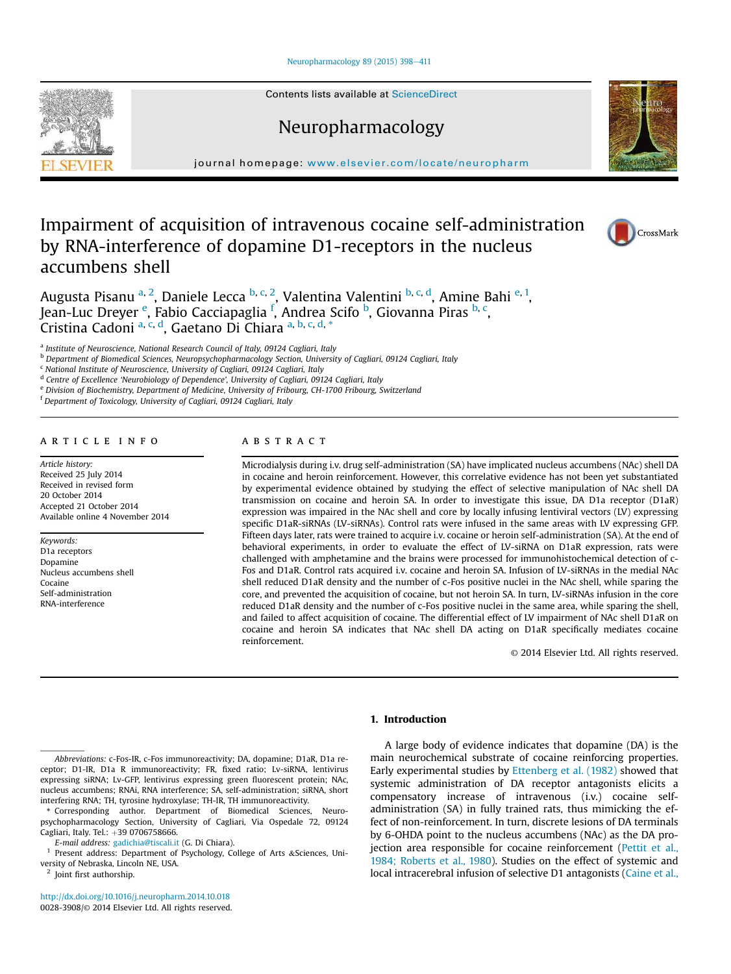#### Neuropharmacology 89 (2015) 398-411

Contents lists available at ScienceDirect

Neuropharmacology

journal homepage: www.elsevier.com/locate/neuropharm

# Impairment of acquisition of intravenous cocaine self-administration by RNA-interference of dopamine D1-receptors in the nucleus accumbens shell

Augusta Pisanu <sup>a, 2</sup>, Daniele Lecca <sup>b, c, 2</sup>, Valentina Valentini <sup>b, c, d</sup>, Amine Bahi <sup>e, 1</sup>, Jean-Luc Dreyer <sup>e</sup>, Fabio Cacciapaglia <sup>f</sup>, Andrea Scifo <sup>b</sup>, Giovanna Piras <sup>b, c</sup>, o<br>Cristina Cadoni <sup>a, c, d</sup>, Gaetano Di Chiara <sup>a, b, c, d, \*</sup>

a *Institute of Neuroscience, National Research Council of Italy, 09124 Cagliari, Italy*

<sup>b</sup> *Department of Biomedical Sciences, Neuropsychopharmacology Section, University of Cagliari, 09124 Cagliari, Italy*

<sup>c</sup> *National Institute of Neuroscience, University of Cagliari, 09124 Cagliari, Italy*

d *Centre of Excellence* '*Neurobiology of Dependence*'*, University of Cagliari, 09124 Cagliari, Italy*

<sup>e</sup> *Division of Biochemistry, Department of Medicine, University of Fribourg, CH-1700 Fribourg, Switzerland*

<sup>f</sup> *Department of Toxicology, University of Cagliari, 09124 Cagliari, Italy*

## article info

*Article history:* Received 25 July 2014 Received in revised form 20 October 2014 Accepted 21 October 2014 Available online 4 November 2014

*Keywords:* D1a receptors Dopamine Nucleus accumbens shell Cocaine Self-administration RNA-interference

# ABSTRACT

Microdialysis during i.v. drug self-administration (SA) have implicated nucleus accumbens (NAc) shell DA in cocaine and heroin reinforcement. However, this correlative evidence has not been yet substantiated by experimental evidence obtained by studying the effect of selective manipulation of NAc shell DA transmission on cocaine and heroin SA. In order to investigate this issue, DA D1a receptor (D1aR) expression was impaired in the NAc shell and core by locally infusing lentiviral vectors (LV) expressing specific D1aR-siRNAs (LV-siRNAs). Control rats were infused in the same areas with LV expressing GFP. Fifteen days later, rats were trained to acquire i.v. cocaine or heroin self-administration (SA). At the end of behavioral experiments, in order to evaluate the effect of LV-siRNA on D1aR expression, rats were challenged with amphetamine and the brains were processed for immunohistochemical detection of c-Fos and D1aR. Control rats acquired i.v. cocaine and heroin SA. Infusion of LV-siRNAs in the medial NAc shell reduced D1aR density and the number of c-Fos positive nuclei in the NAc shell, while sparing the core, and prevented the acquisition of cocaine, but not heroin SA. In turn, LV-siRNAs infusion in the core reduced D1aR density and the number of c-Fos positive nuclei in the same area, while sparing the shell, and failed to affect acquisition of cocaine. The differential effect of LV impairment of NAc shell D1aR on cocaine and heroin SA indicates that NAc shell DA acting on D1aR specifically mediates cocaine reinforcement.

© 2014 Elsevier Ltd. All rights reserved.

# 1. Introduction

A large body of evidence indicates that dopamine (DA) is the main neurochemical substrate of cocaine reinforcing properties. Early experimental studies by Ettenberg et al. (1982) showed that systemic administration of DA receptor antagonists elicits a compensatory increase of intravenous (i.v.) cocaine selfadministration (SA) in fully trained rats, thus mimicking the effect of non-reinforcement. In turn, discrete lesions of DA terminals by 6-OHDA point to the nucleus accumbens (NAc) as the DA projection area responsible for cocaine reinforcement (Pettit et al., 1984; Roberts et al., 1980). Studies on the effect of systemic and local intracerebral infusion of selective D1 antagonists (Caine et al.,

*Abbreviations:* c-Fos-IR, c-Fos immunoreactivity; DA, dopamine; D1aR, D1a receptor; D1-IR, D1a R immunoreactivity; FR, fixed ratio; Lv-siRNA, lentivirus expressing siRNA; Lv-GFP, lentivirus expressing green fluorescent protein; NAc, nucleus accumbens; RNAi, RNA interference; SA, self-administration; siRNA, short interfering RNA; TH, tyrosine hydroxylase; TH-IR, TH immunoreactivity.

Corresponding author. Department of Biomedical Sciences, Neuropsychopharmacology Section, University of Cagliari, Via Ospedale 72, 09124 Cagliari, Italy. Tel.: +39 0706758666.

*E-mail address:* gadichia@tiscali.it (G. Di Chiara).

<sup>1</sup> Present address: Department of Psychology, College of Arts &Sciences, University of Nebraska, Lincoln NE, USA.

<sup>2</sup> Joint first authorship.

http://dx.doi.org/10.1016/j.neuropharm.2014.10.018 0028-3908/© 2014 Elsevier Ltd. All rights reserved.





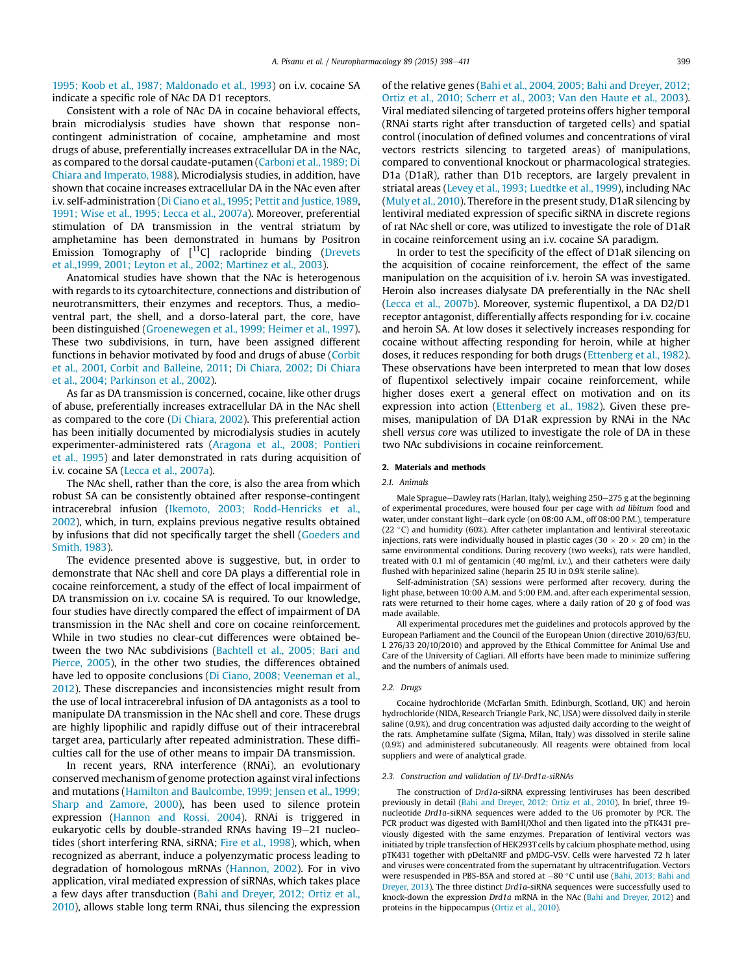1995; Koob et al., 1987; Maldonado et al., 1993) on i.v. cocaine SA indicate a specific role of NAc DA D1 receptors.

Consistent with a role of NAc DA in cocaine behavioral effects, brain microdialysis studies have shown that response noncontingent administration of cocaine, amphetamine and most drugs of abuse, preferentially increases extracellular DA in the NAc, as compared to the dorsal caudate-putamen (Carboni et al., 1989; Di Chiara and Imperato, 1988). Microdialysis studies, in addition, have shown that cocaine increases extracellular DA in the NAc even after i.v. self-administration (Di Ciano et al., 1995; Pettit and Justice, 1989, 1991; Wise et al., 1995; Lecca et al., 2007a). Moreover, preferential stimulation of DA transmission in the ventral striatum by amphetamine has been demonstrated in humans by Positron Emission Tomography of  $[11C]$  raclopride binding (Drevets et al.,1999, 2001; Leyton et al., 2002; Martinez et al., 2003).

Anatomical studies have shown that the NAc is heterogenous with regards to its cytoarchitecture, connections and distribution of neurotransmitters, their enzymes and receptors. Thus, a medioventral part, the shell, and a dorso-lateral part, the core, have been distinguished (Groenewegen et al., 1999; Heimer et al., 1997). These two subdivisions, in turn, have been assigned different functions in behavior motivated by food and drugs of abuse (Corbit et al., 2001, Corbit and Balleine, 2011; Di Chiara, 2002; Di Chiara et al., 2004; Parkinson et al., 2002).

As far as DA transmission is concerned, cocaine, like other drugs of abuse, preferentially increases extracellular DA in the NAc shell as compared to the core (Di Chiara, 2002). This preferential action has been initially documented by microdialysis studies in acutely experimenter-administered rats (Aragona et al., 2008; Pontieri et al., 1995) and later demonstrated in rats during acquisition of i.v. cocaine SA (Lecca et al., 2007a).

The NAc shell, rather than the core, is also the area from which robust SA can be consistently obtained after response-contingent intracerebral infusion (Ikemoto, 2003; Rodd-Henricks et al., 2002), which, in turn, explains previous negative results obtained by infusions that did not specifically target the shell (Goeders and Smith, 1983).

The evidence presented above is suggestive, but, in order to demonstrate that NAc shell and core DA plays a differential role in cocaine reinforcement, a study of the effect of local impairment of DA transmission on i.v. cocaine SA is required. To our knowledge, four studies have directly compared the effect of impairment of DA transmission in the NAc shell and core on cocaine reinforcement. While in two studies no clear-cut differences were obtained between the two NAc subdivisions (Bachtell et al., 2005; Bari and Pierce, 2005), in the other two studies, the differences obtained have led to opposite conclusions (Di Ciano, 2008; Veeneman et al., 2012). These discrepancies and inconsistencies might result from the use of local intracerebral infusion of DA antagonists as a tool to manipulate DA transmission in the NAc shell and core. These drugs are highly lipophilic and rapidly diffuse out of their intracerebral target area, particularly after repeated administration. These difficulties call for the use of other means to impair DA transmission.

In recent years, RNA interference (RNAi), an evolutionary conserved mechanism of genome protection against viral infections and mutations (Hamilton and Baulcombe, 1999; Jensen et al., 1999; Sharp and Zamore, 2000), has been used to silence protein expression (Hannon and Rossi, 2004). RNAi is triggered in eukaryotic cells by double-stranded RNAs having  $19-21$  nucleotides (short interfering RNA, siRNA; Fire et al., 1998), which, when recognized as aberrant, induce a polyenzymatic process leading to degradation of homologous mRNAs (Hannon, 2002). For in vivo application, viral mediated expression of siRNAs, which takes place a few days after transduction (Bahi and Dreyer, 2012; Ortiz et al., 2010), allows stable long term RNAi, thus silencing the expression of the relative genes (Bahi et al., 2004, 2005; Bahi and Dreyer, 2012; Ortiz et al., 2010; Scherr et al., 2003; Van den Haute et al., 2003). Viral mediated silencing of targeted proteins offers higher temporal (RNAi starts right after transduction of targeted cells) and spatial control (inoculation of defined volumes and concentrations of viral vectors restricts silencing to targeted areas) of manipulations, compared to conventional knockout or pharmacological strategies. D1a (D1aR), rather than D1b receptors, are largely prevalent in striatal areas (Levey et al., 1993; Luedtke et al., 1999), including NAc (Muly et al., 2010). Therefore in the present study, D1aR silencing by lentiviral mediated expression of specific siRNA in discrete regions of rat NAc shell or core, was utilized to investigate the role of D1aR in cocaine reinforcement using an i.v. cocaine SA paradigm.

In order to test the specificity of the effect of D1aR silencing on the acquisition of cocaine reinforcement, the effect of the same manipulation on the acquisition of i.v. heroin SA was investigated. Heroin also increases dialysate DA preferentially in the NAc shell (Lecca et al., 2007b). Moreover, systemic flupentixol, a DA D2/D1 receptor antagonist, differentially affects responding for i.v. cocaine and heroin SA. At low doses it selectively increases responding for cocaine without affecting responding for heroin, while at higher doses, it reduces responding for both drugs (Ettenberg et al., 1982). These observations have been interpreted to mean that low doses of flupentixol selectively impair cocaine reinforcement, while higher doses exert a general effect on motivation and on its expression into action (Ettenberg et al., 1982). Given these premises, manipulation of DA D1aR expression by RNAi in the NAc shell *versus core* was utilized to investigate the role of DA in these two NAc subdivisions in cocaine reinforcement.

#### 2. Materials and methods

#### *2.1. Animals*

Male Sprague-Dawley rats (Harlan, Italy), weighing 250-275 g at the beginning of experimental procedures, were housed four per cage with *ad libitum* food and water, under constant light-dark cycle (on 08:00 A.M., off 08:00 P.M.), temperature  $(22 \degree C)$  and humidity (60%). After catheter implantation and lentiviral stereotaxic injections, rats were individually housed in plastic cages (30  $\times$  20  $\times$  20 cm) in the same environmental conditions. During recovery (two weeks), rats were handled, treated with 0.1 ml of gentamicin (40 mg/ml, i.v.), and their catheters were daily flushed with heparinized saline (heparin 25 IU in 0.9% sterile saline).

Self-administration (SA) sessions were performed after recovery, during the light phase, between 10:00 A.M. and 5:00 P.M. and, after each experimental session, rats were returned to their home cages, where a daily ration of 20 g of food was made available.

All experimental procedures met the guidelines and protocols approved by the European Parliament and the Council of the European Union (directive 2010/63/EU, L 276/33 20/10/2010) and approved by the Ethical Committee for Animal Use and Care of the University of Cagliari. All efforts have been made to minimize suffering and the numbers of animals used.

#### *2.2. Drugs*

Cocaine hydrochloride (McFarlan Smith, Edinburgh, Scotland, UK) and heroin hydrochloride (NIDA, Research Triangle Park, NC, USA) were dissolved daily in sterile saline (0.9%), and drug concentration was adjusted daily according to the weight of the rats. Amphetamine sulfate (Sigma, Milan, Italy) was dissolved in sterile saline (0.9%) and administered subcutaneously. All reagents were obtained from local suppliers and were of analytical grade.

#### *2.3. Construction and validation of LV-Drd1a-siRNAs*

The construction of *Drd1a*-siRNA expressing lentiviruses has been described previously in detail (Bahi and Dreyer, 2012; Ortiz et al., 2010). In brief, three 19 nucleotide *Drd1a*-siRNA sequences were added to the U6 promoter by PCR. The PCR product was digested with BamHI/XhoI and then ligated into the pTK431 previously digested with the same enzymes. Preparation of lentiviral vectors was initiated by triple transfection of HEK293T cells by calcium phosphate method, using pTK431 together with pDeltaNRF and pMDG-VSV. Cells were harvested 72 h later and viruses were concentrated from the supernatant by ultracentrifugation. Vectors were resuspended in PBS-BSA and stored at  $-80$  °C until use (Bahi, 2013; Bahi and Dreyer, 2013). The three distinct *Drd1a*-siRNA sequences were successfully used to knock-down the expression *Drd1a* mRNA in the NAc (Bahi and Dreyer, 2012) and proteins in the hippocampus (Ortiz et al., 2010).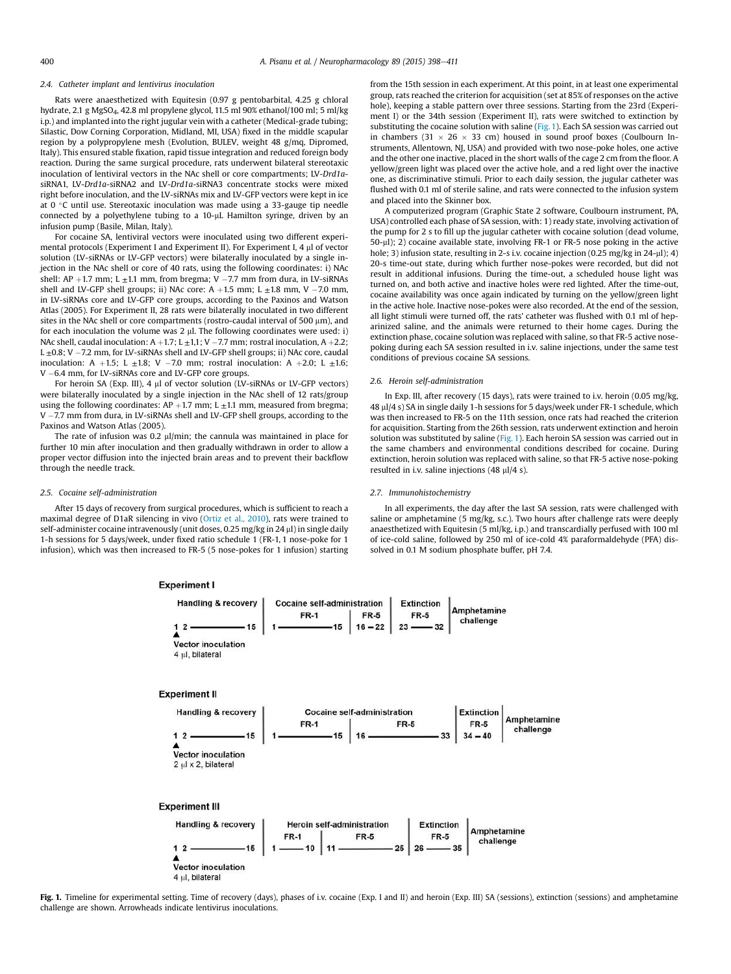#### *2.4. Catheter implant and lentivirus inoculation*

Rats were anaesthetized with Equitesin (0.97 g pentobarbital, 4.25 g chloral hydrate, 2.1 g MgSO4, 42.8 ml propylene glycol, 11.5 ml 90% ethanol/100 ml; 5 ml/kg i.p.) and implanted into the right jugular vein with a catheter (Medical-grade tubing; Silastic, Dow Corning Corporation, Midland, MI, USA) fixed in the middle scapular region by a polypropylene mesh (Evolution, BULEV, weight 48 g/mq, Dipromed, Italy). This ensured stable fixation, rapid tissue integration and reduced foreign body reaction. During the same surgical procedure, rats underwent bilateral stereotaxic inoculation of lentiviral vectors in the NAc shell or core compartments; LV-*Drd1a*siRNA1, LV-*Drd1a*-siRNA2 and LV-*Drd1a-*siRNA3 concentrate stocks were mixed right before inoculation, and the LV-siRNAs mix and LV-GFP vectors were kept in ice at  $0 °C$  until use. Stereotaxic inoculation was made using a 33-gauge tip needle connected by a polyethylene tubing to a 10-µL Hamilton syringe, driven by an infusion pump (Basile, Milan, Italy).

For cocaine SA, lentiviral vectors were inoculated using two different experimental protocols (Experiment I and Experiment II). For Experiment I, 4 ml of vector solution (LV-siRNAs or LV-GFP vectors) were bilaterally inoculated by a single injection in the NAc shell or core of 40 rats, using the following coordinates: i) NAc shell: AP +1.7 mm; L  $\pm$ 1.1 mm, from bregma; V -7.7 mm from dura, in LV-siRNAs shell and LV-GFP shell groups; ii) NAc core: A +1.5 mm; L  $\pm$ 1.8 mm, V -7.0 mm, in LV-siRNAs core and LV-GFP core groups, according to the Paxinos and Watson Atlas (2005). For Experiment II, 28 rats were bilaterally inoculated in two different sites in the NAc shell or core compartments (rostro-caudal interval of 500  $\mu$ m), and for each inoculation the volume was  $2 \mu$ . The following coordinates were used: i) NAc shell, caudal inoculation:  $A + 1.7$ ; L  $\pm$ 1,1; V -7.7 mm; rostral inoculation. A +2.2:  $L \pm 0.8$ ; V -7.2 mm, for LV-siRNAs shell and LV-GFP shell groups; ii) NAc core, caudal inoculation: A +1.5; L  $\pm$ 1.8; V -7.0 mm; rostral inoculation: A +2.0; L  $\pm$ 1.6;  $V - 6.4$  mm, for LV-siRNAs core and LV-GFP core groups.

For heroin SA (Exp. III), 4 µl of vector solution (LV-siRNAs or LV-GFP vectors) were bilaterally inoculated by a single injection in the NAc shell of 12 rats/group using the following coordinates: AP +1.7 mm; L  $\pm$ 1.1 mm, measured from bregma; V -7.7 mm from dura, in LV-siRNAs shell and LV-GFP shell groups, according to the Paxinos and Watson Atlas (2005).

The rate of infusion was 0.2  $\mu$ l/min; the cannula was maintained in place for further 10 min after inoculation and then gradually withdrawn in order to allow a proper vector diffusion into the injected brain areas and to prevent their backflow through the needle track.

#### *2.5. Cocaine self-administration*

After 15 days of recovery from surgical procedures, which is sufficient to reach a maximal degree of D1aR silencing in vivo (Ortiz et al., 2010), rats were trained to self-administer cocaine intravenously (unit doses, 0.25 mg/kg in 24 µl) in single daily 1-h sessions for 5 days/week, under fixed ratio schedule 1 (FR-1, 1 nose-poke for 1 infusion), which was then increased to FR-5 (5 nose-pokes for 1 infusion) starting

**Experiment I** 

from the 15th session in each experiment. At this point, in at least one experimental group, rats reached the criterion for acquisition (set at 85% of responses on the active hole), keeping a stable pattern over three sessions. Starting from the 23rd (Experiment I) or the 34th session (Experiment II), rats were switched to extinction by substituting the cocaine solution with saline ( $Fig. 1$ ). Each SA session was carried out in chambers (31  $\times$  26  $\times$  33 cm) housed in sound proof boxes (Coulbourn Instruments, Allentown, NJ, USA) and provided with two nose-poke holes, one active and the other one inactive, placed in the short walls of the cage 2 cm from the floor. A yellow/green light was placed over the active hole, and a red light over the inactive one, as discriminative stimuli. Prior to each daily session, the jugular catheter was flushed with 0.1 ml of sterile saline, and rats were connected to the infusion system and placed into the Skinner box.

A computerized program (Graphic State 2 software, Coulbourn instrument, PA, USA) controlled each phase of SA session, with: 1) ready state, involving activation of the pump for 2 s to fill up the jugular catheter with cocaine solution (dead volume, 50-µl); 2) cocaine available state, involving FR-1 or FR-5 nose poking in the active hole; 3) infusion state, resulting in 2-s i.v. cocaine injection (0.25 mg/kg in 24-µl); 4) 20-s time-out state, during which further nose-pokes were recorded, but did not result in additional infusions. During the time-out, a scheduled house light was turned on, and both active and inactive holes were red lighted. After the time-out, cocaine availability was once again indicated by turning on the yellow/green light in the active hole. Inactive nose-pokes were also recorded. At the end of the session, all light stimuli were turned off, the rats' catheter was flushed with 0.1 ml of heparinized saline, and the animals were returned to their home cages. During the extinction phase, cocaine solution was replaced with saline, so that FR-5 active nosepoking during each SA session resulted in i.v. saline injections, under the same test conditions of previous cocaine SA sessions.

## *2.6. Heroin self-administration*

In Exp. III, after recovery (15 days), rats were trained to i.v. heroin (0.05 mg/kg, 48 ml/4 s) SA in single daily 1-h sessions for 5 days/week under FR-1 schedule, which was then increased to FR-5 on the 11th session, once rats had reached the criterion for acquisition. Starting from the 26th session, rats underwent extinction and heroin solution was substituted by saline (Fig. 1). Each heroin SA session was carried out in the same chambers and environmental conditions described for cocaine. During extinction, heroin solution was replaced with saline, so that FR-5 active nose-poking resulted in i.v. saline injections (48 µl/4 s).

#### *2.7. Immunohistochemistry*

In all experiments, the day after the last SA session, rats were challenged with saline or amphetamine (5 mg/kg, s.c.). Two hours after challenge rats were deeply anaesthetized with Equitesin (5 ml/kg, i.p.) and transcardially perfused with 100 ml of ice-cold saline, followed by 250 ml of ice-cold 4% paraformaldehyde (PFA) dissolved in 0.1 M sodium phosphate buffer, pH 7.4.



Fig. 1. Timeline for experimental setting. Time of recovery (days), phases of i.v. cocaine (Exp. I and II) and heroin (Exp. III) SA (sessions), extinction (sessions) and amphetamine challenge are shown. Arrowheads indicate lentivirus inoculations.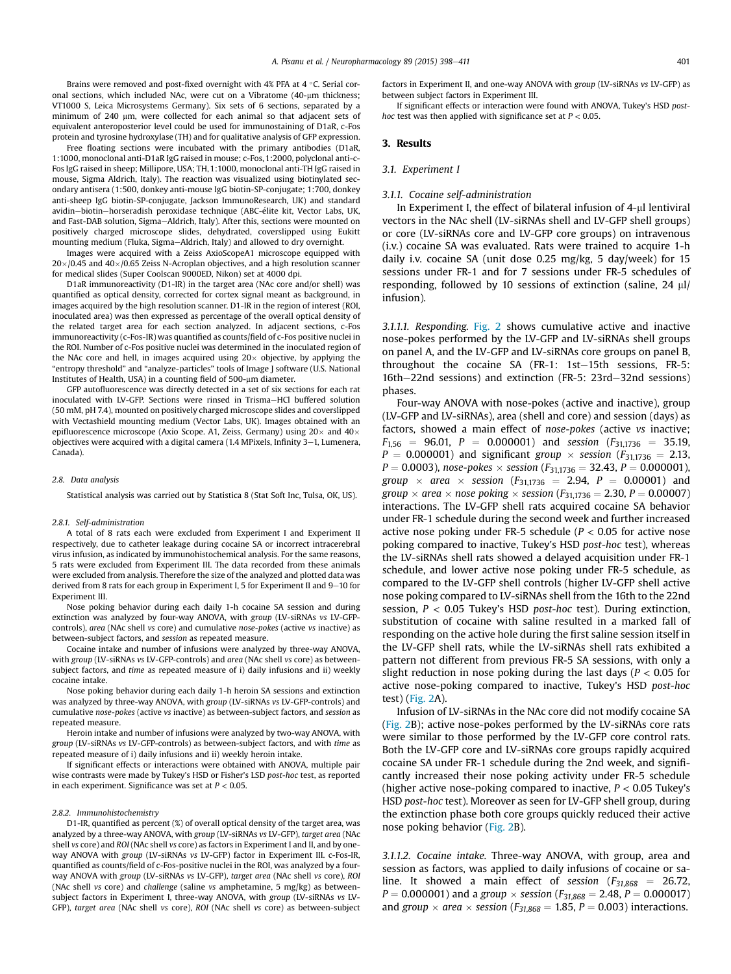Brains were removed and post-fixed overnight with  $4\%$  PFA at  $4\degree$ C. Serial coronal sections, which included NAc, were cut on a Vibratome (40-um thickness; VT1000 S, Leica Microsystems Germany). Six sets of 6 sections, separated by a minimum of 240 µm, were collected for each animal so that adjacent sets of equivalent anteroposterior level could be used for immunostaining of D1aR, c-Fos protein and tyrosine hydroxylase (TH) and for qualitative analysis of GFP expression.

Free floating sections were incubated with the primary antibodies (D1aR, 1:1000, monoclonal anti-D1aR IgG raised in mouse; c-Fos, 1:2000, polyclonal anti-c-Fos IgG raised in sheep; Millipore, USA; TH, 1:1000, monoclonal anti-TH IgG raised in mouse, Sigma Aldrich, Italy). The reaction was visualized using biotinylated secondary antisera (1:500, donkey anti-mouse IgG biotin-SP-conjugate; 1:700, donkey anti-sheep IgG biotin-SP-conjugate, Jackson ImmunoResearch, UK) and standard avidin-biotin-horseradish peroxidase technique (ABC-élite kit, Vector Labs, UK, and Fast-DAB solution, Sigma-Aldrich, Italy). After this, sections were mounted on positively charged microscope slides, dehydrated, coverslipped using Eukitt mounting medium (Fluka, Sigma-Aldrich, Italy) and allowed to dry overnight.

Images were acquired with a Zeiss AxioScopeA1 microscope equipped with  $20\times 0.45$  and  $40\times 0.65$  Zeiss N-Acroplan objectives, and a high resolution scanner for medical slides (Super Coolscan 9000ED, Nikon) set at 4000 dpi.

D1aR immunoreactivity (D1-IR) in the target area (NAc core and/or shell) was quantified as optical density, corrected for cortex signal meant as background, in images acquired by the high resolution scanner. D1-IR in the region of interest (ROI, inoculated area) was then expressed as percentage of the overall optical density of the related target area for each section analyzed. In adjacent sections, c-Fos immunoreactivity (c-Fos-IR) was quantified as counts/field of c-Fos positive nuclei in the ROI. Number of c-Fos positive nuclei was determined in the inoculated region of the NAc core and hell, in images acquired using  $20 \times$  objective, by applying the "entropy threshold" and "analyze-particles" tools of Image J software (U.S. National Institutes of Health, USA) in a counting field of 500-um diameter.

GFP autofluorescence was directly detected in a set of six sections for each rat inoculated with LV-GFP. Sections were rinsed in Trisma-HCl buffered solution (50 mM, pH 7.4), mounted on positively charged microscope slides and coverslipped with Vectashield mounting medium (Vector Labs, UK). Images obtained with an epifluorescence microscope (Axio Scope. A1, Zeiss, Germany) using  $20\times$  and  $40\times$ objectives were acquired with a digital camera  $(1.4 \text{ MPixels}, \text{Infinity } 3-1, \text{ Lumenera},$ Canada).

#### *2.8. Data analysis*

Statistical analysis was carried out by Statistica 8 (Stat Soft Inc, Tulsa, OK, US).

#### *2.8.1. Self-administration*

A total of 8 rats each were excluded from Experiment I and Experiment II respectively, due to catheter leakage during cocaine SA or incorrect intracerebral virus infusion, as indicated by immunohistochemical analysis. For the same reasons, 5 rats were excluded from Experiment III. The data recorded from these animals were excluded from analysis. Therefore the size of the analyzed and plotted data was derived from 8 rats for each group in Experiment I, 5 for Experiment II and  $9-10$  for Experiment III.

Nose poking behavior during each daily 1-h cocaine SA session and during extinction was analyzed by four-way ANOVA, with *group* (LV-siRNAs *vs* LV-GFPcontrols), *area* (NAc shell *vs* core) and cumulative *nose-pokes* (active *vs* inactive) as between-subject factors, and *session* as repeated measure.

Cocaine intake and number of infusions were analyzed by three-way ANOVA, with *group* (LV-siRNAs *vs* LV-GFP-controls) and *area* (NAc shell *vs* core) as betweensubject factors, and *time* as repeated measure of i) daily infusions and ii) weekly cocaine intake.

Nose poking behavior during each daily 1-h heroin SA sessions and extinction was analyzed by three-way ANOVA, with *group* (LV-siRNAs *vs* LV-GFP-controls) and cumulative *nose-pokes* (active *vs* inactive) as between-subject factors, and *session* as repeated measure.

Heroin intake and number of infusions were analyzed by two-way ANOVA, with *group* (LV-siRNAs *vs* LV-GFP-controls) as between-subject factors, and with *time* as repeated measure of i) daily infusions and ii) weekly heroin intake.

If significant effects or interactions were obtained with ANOVA, multiple pair wise contrasts were made by Tukey's HSD or Fisher's LSD *post-hoc* test, as reported in each experiment. Significance was set at *P* < 0.05.

#### *2.8.2. Immunohistochemistry*

D1-IR, quantified as percent (%) of overall optical density of the target area, was analyzed by a three-way ANOVA, with *group* (LV-siRNAs *vs* LV-GFP), *target area* (NAc shell *vs* core) and *ROI* (NAc shell *vs* core) as factors in Experiment I and II, and by oneway ANOVA with *group* (LV-siRNAs *vs* LV-GFP) factor in Experiment III. c-Fos-IR, quantified as counts/field of c-Fos-positive nuclei in the ROI, was analyzed by a fourway ANOVA with *group* (LV-siRNAs *vs* LV-GFP), *target area* (NAc shell *vs* core), *ROI* (NAc shell *vs* core) and *challenge* (saline *vs* amphetamine, 5 mg/kg) as betweensubject factors in Experiment I, three-way ANOVA, with *group* (LV-siRNAs *vs* LV-GFP), *target area* (NAc shell *vs* core), *ROI* (NAc shell *vs* core) as between-subject factors in Experiment II, and one-way ANOVA with *group* (LV-siRNAs *vs* LV-GFP) as between subject factors in Experiment III.

If significant effects or interaction were found with ANOVA, Tukey's HSD *posthoc* test was then applied with significance set at *P* < 0.05.

#### 3. Results

#### *3.1. Experiment I*

## *3.1.1. Cocaine self-administration*

In Experiment I, the effect of bilateral infusion of 4-ul lentiviral vectors in the NAc shell (LV-siRNAs shell and LV-GFP shell groups) or core (LV-siRNAs core and LV-GFP core groups) on intravenous (i.v.) cocaine SA was evaluated. Rats were trained to acquire 1-h daily i.v. cocaine SA (unit dose 0.25 mg/kg, 5 day/week) for 15 sessions under FR-1 and for 7 sessions under FR-5 schedules of responding, followed by 10 sessions of extinction (saline,  $24 \mu$ l/ infusion).

*3.1.1.1. Responding.* Fig. 2 shows cumulative active and inactive nose-pokes performed by the LV-GFP and LV-siRNAs shell groups on panel A, and the LV-GFP and LV-siRNAs core groups on panel B, throughout the cocaine SA (FR-1: 1st-15th sessions, FR-5: 16th-22nd sessions) and extinction (FR-5: 23rd-32nd sessions) phases.

Four-way ANOVA with nose-pokes (active and inactive), group (LV-GFP and LV-siRNAs), area (shell and core) and session (days) as factors, showed a main effect of *nose-pokes* (active *vs* inactive;  $F_{1,56}$  = 96.01, *P* = 0.000001) and *session* ( $F_{31,1736}$  = 35.19,  $P = 0.000001$  and significant *group*  $\times$  *session* ( $F_{31,1736} = 2.13$ ,  $P = 0.0003$ ), *nose-pokes*  $\times$  *session* ( $F_{31,1736} = 32.43$ ,  $P = 0.000001$ ), *group*  $\times$  *area*  $\times$  *session* ( $F_{31,1736} = 2.94$ ,  $P = 0.00001$ ) and *group*  $\times$  *area*  $\times$  *nose poking*  $\times$  *session* (*F*<sub>31,1736</sub> = 2.30, *P* = 0.00007) interactions. The LV-GFP shell rats acquired cocaine SA behavior under FR-1 schedule during the second week and further increased active nose poking under FR-5 schedule (*P* < 0.05 for active nose poking compared to inactive, Tukey's HSD *post-hoc* test), whereas the LV-siRNAs shell rats showed a delayed acquisition under FR-1 schedule, and lower active nose poking under FR-5 schedule, as compared to the LV-GFP shell controls (higher LV-GFP shell active nose poking compared to LV-siRNAs shell from the 16th to the 22nd session, *P* < 0.05 Tukey's HSD *post-hoc* test). During extinction, substitution of cocaine with saline resulted in a marked fall of responding on the active hole during the first saline session itself in the LV-GFP shell rats, while the LV-siRNAs shell rats exhibited a pattern not different from previous FR-5 SA sessions, with only a slight reduction in nose poking during the last days (*P* < 0.05 for active nose-poking compared to inactive, Tukey's HSD *post-hoc* test) (Fig. 2A).

Infusion of LV-siRNAs in the NAc core did not modify cocaine SA (Fig. 2B); active nose-pokes performed by the LV-siRNAs core rats were similar to those performed by the LV-GFP core control rats. Both the LV-GFP core and LV-siRNAs core groups rapidly acquired cocaine SA under FR-1 schedule during the 2nd week, and significantly increased their nose poking activity under FR-5 schedule (higher active nose-poking compared to inactive, *P* < 0.05 Tukey's HSD *post-hoc* test). Moreover as seen for LV-GFP shell group, during the extinction phase both core groups quickly reduced their active nose poking behavior (Fig. 2B).

*3.1.1.2. Cocaine intake.* Three-way ANOVA, with group, area and session as factors, was applied to daily infusions of cocaine or saline. It showed a main effect of *session*  $(F_{31,868} = 26.72,$  $P = 0.000001$ ) and a *group*  $\times$  *session* ( $F_{31,868} = 2.48$ ,  $P = 0.000017$ ) and *group*  $\times$  *area*  $\times$  *session* ( $F_{31,868} = 1.85$ ,  $P = 0.003$ ) interactions.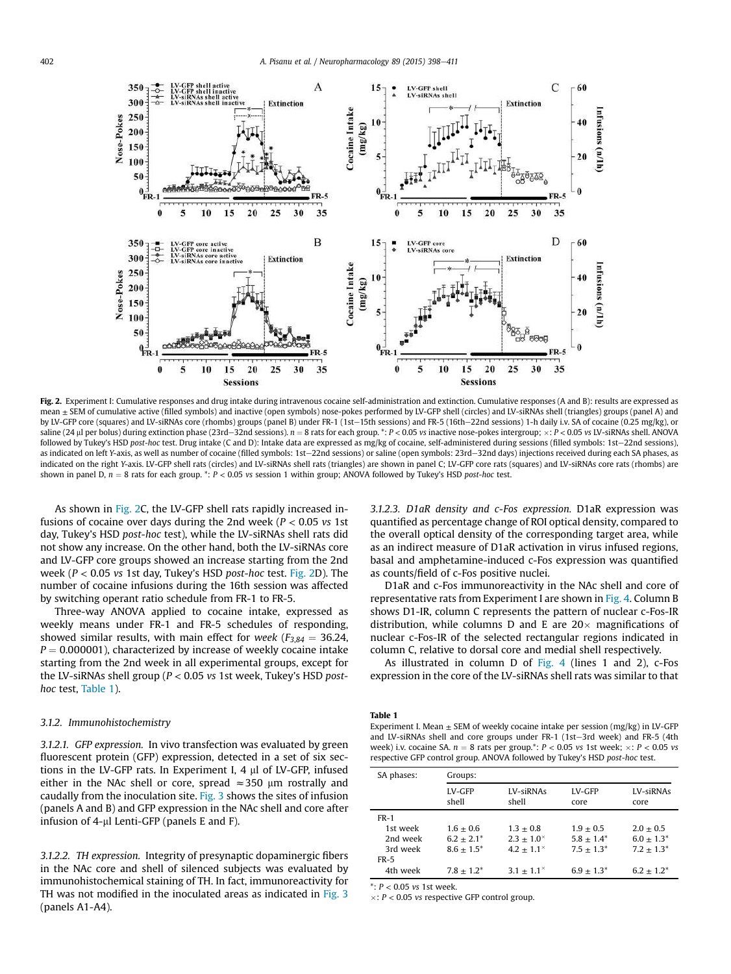

Fig. 2. Experiment I: Cumulative responses and drug intake during intravenous cocaine self-administration and extinction. Cumulative responses (A and B): results are expressed as mean  $\pm$  SEM of cumulative active (filled symbols) and inactive (open symbols) nose-pokes performed by LV-GFP shell (circles) and LV-siRNAs shell (triangles) groups (panel A) and by LV-GFP core (squares) and LV-siRNAs core (rhombs) groups (panel B) under FR-1 (1st-15th sessions) and FR-5 (16th-22nd sessions) 1-h daily i.v. SA of cocaine (0.25 mg/kg), or saline (24 ul per bolus) during extinction phase (23rd-32nd sessions).  $n = 8$  rats for each group. \*:  $P < 0.05$  vs inactive nose-pokes intergroup;  $\times$ :  $P < 0.05$  vs LV-siRNAs shell. ANOVA followed by Tukey's HSD post-hoc test. Drug intake (C and D): Intake data are expressed as mg/kg of cocaine, self-administered during sessions (filled symbols: 1st-22nd sessions), as indicated on left *Y*-axis, as well as number of cocaine (filled symbols: 1st-22nd sessions) or saline (open symbols: 23rd-32nd days) injections received during each SA phases, as indicated on the right *Y*-axis. LV-GFP shell rats (circles) and LV-siRNAs shell rats (triangles) are shown in panel C; LV-GFP core rats (squares) and LV-siRNAs core rats (rhombs) are shown in panel D,  $n = 8$  rats for each group. \*:  $P < 0.05$  *vs* session 1 within group; ANOVA followed by Tukey's HSD *post-hoc* test.

As shown in Fig. 2C, the LV-GFP shell rats rapidly increased infusions of cocaine over days during the 2nd week (*P* < 0.05 *vs* 1st day, Tukey's HSD *post-hoc* test), while the LV-siRNAs shell rats did not show any increase. On the other hand, both the LV-siRNAs core and LV-GFP core groups showed an increase starting from the 2nd week (*P* < 0.05 *vs* 1st day, Tukey's HSD *post-hoc* test. Fig. 2D). The number of cocaine infusions during the 16th session was affected by switching operant ratio schedule from FR-1 to FR-5.

Three-way ANOVA applied to cocaine intake, expressed as weekly means under FR-1 and FR-5 schedules of responding, showed similar results, with main effect for *week* ( $F_{3,84} = 36.24$ ,  $P = 0.000001$ ), characterized by increase of weekly cocaine intake starting from the 2nd week in all experimental groups, except for the LV-siRNAs shell group (*P* < 0.05 *vs* 1st week, Tukey's HSD *posthoc* test, Table 1).

#### *3.1.2. Immunohistochemistry*

*3.1.2.1. GFP expression.* In vivo transfection was evaluated by green fluorescent protein (GFP) expression, detected in a set of six sections in the LV-GFP rats. In Experiment I, 4 µl of LV-GFP, infused either in the NAc shell or core, spread  $\approx$  350 µm rostrally and caudally from the inoculation site. Fig. 3 shows the sites of infusion (panels A and B) and GFP expression in the NAc shell and core after infusion of  $4$ -µl Lenti-GFP (panels E and F).

*3.1.2.2. TH expression.* Integrity of presynaptic dopaminergic fibers in the NAc core and shell of silenced subjects was evaluated by immunohistochemical staining of TH. In fact, immunoreactivity for TH was not modified in the inoculated areas as indicated in Fig. 3 (panels A1-A4).

*3.1.2.3. D1aR density and c-Fos expression.* D1aR expression was quantified as percentage change of ROI optical density, compared to the overall optical density of the corresponding target area, while as an indirect measure of D1aR activation in virus infused regions, basal and amphetamine-induced c-Fos expression was quantified as counts/field of c-Fos positive nuclei.

D1aR and c-Fos immunoreactivity in the NAc shell and core of representative rats from Experiment I are shown in Fig. 4. Column B shows D1-IR, column C represents the pattern of nuclear c-Fos-IR distribution, while columns D and E are  $20\times$  magnifications of nuclear c-Fos-IR of the selected rectangular regions indicated in column C, relative to dorsal core and medial shell respectively.

As illustrated in column D of Fig. 4 (lines 1 and 2), c-Fos expression in the core of the LV-siRNAs shell rats was similar to that

#### Table 1

Experiment I. Mean  $\pm$  SEM of weekly cocaine intake per session (mg/kg) in LV-GFP and LV-siRNAs shell and core groups under FR-1 (1st-3rd week) and FR-5 (4th week) i.v. cocaine SA.  $n = 8$  rats per group.\*:  $P < 0.05$  *vs* 1st week;  $\times: P < 0.05$  *vs* respective GFP control group. ANOVA followed by Tukey's HSD *post-hoc* test.

| SA phases: | Groups:         |                        |                |                   |  |
|------------|-----------------|------------------------|----------------|-------------------|--|
|            | LV-GFP<br>shell | LV-siRNAs<br>shell     | LV-GFP<br>core | LV-siRNAs<br>core |  |
| $FR-1$     |                 |                        |                |                   |  |
| 1st week   | $1.6 + 0.6$     | $1.3 + 0.8$            | $1.9 + 0.5$    | $2.0 + 0.5$       |  |
| 2nd week   | $6.2 + 2.1^*$   | $2.3 + 1.0^{\times}$   | $5.8 + 1.4^*$  | $6.0 + 1.3*$      |  |
| 3rd week   | $8.6 + 1.5^*$   | $4.2 \pm 1.1^{\times}$ | $7.5 + 1.3^*$  | $7.2 + 1.3*$      |  |
| $FR-5$     |                 |                        |                |                   |  |
| 4th week   | $7.8 + 1.2^*$   | $3.1 + 1.1^{\times}$   | $6.9 + 1.3^*$  | $6.2 + 1.2^*$     |  |

\*: *P* < 0.05 *vs* 1st week.

: *P* < 0.05 *vs* respective GFP control group.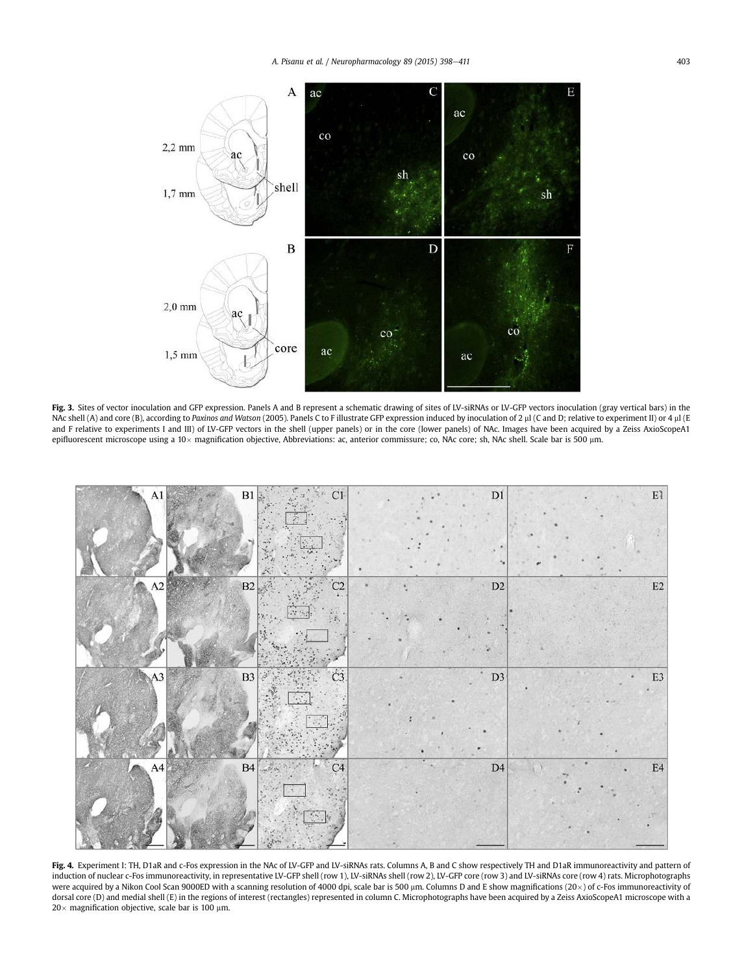

Fig. 3. Sites of vector inoculation and GFP expression. Panels A and B represent a schematic drawing of sites of LV-siRNAs or LV-GFP vectors inoculation (gray vertical bars) in the NAc shell (A) and core (B), according to Paxinos and Watson (2005). Panels C to F illustrate GFP expression induced by inoculation of 2 µl (C and D; relative to experiment II) or 4 µl (E and F relative to experiments I and III) of LV-GFP vectors in the shell (upper panels) or in the core (lower panels) of NAc. Images have been acquired by a Zeiss AxioScopeA1 epifluorescent microscope using a 10 $\times$  magnification objective, Abbreviations: ac, anterior commissure; co, NAc core; sh, NAc shell. Scale bar is 500 µm.



Fig. 4. Experiment I: TH, D1aR and c-Fos expression in the NAc of LV-GFP and LV-siRNAs rats. Columns A, B and C show respectively TH and D1aR immunoreactivity and pattern of induction of nuclear c-Fos immunoreactivity, in representative LV-GFP shell (row 1), LV-siRNAs shell (row 2), LV-GFP core (row 3) and LV-siRNAs core (row 4) rats. Microphotographs were acquired by a Nikon Cool Scan 9000ED with a scanning resolution of 4000 dpi, scale bar is 500  $\mu$ m. Columns D and E show magnifications (20 $\times$ ) of c-Fos immunoreactivity of dorsal core (D) and medial shell (E) in the regions of interest (rectangles) represented in column C. Microphotographs have been acquired by a Zeiss AxioScopeA1 microscope with a  $20 \times$  magnification objective, scale bar is 100  $\mu$ m.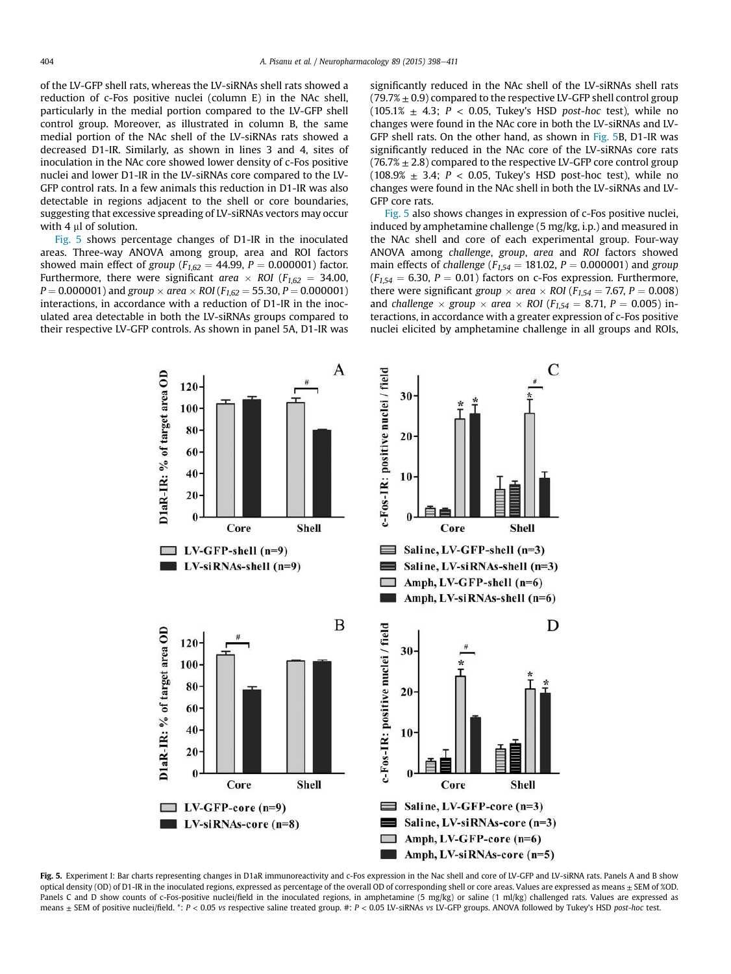of the LV-GFP shell rats, whereas the LV-siRNAs shell rats showed a reduction of c-Fos positive nuclei (column E) in the NAc shell, particularly in the medial portion compared to the LV-GFP shell control group. Moreover, as illustrated in column B, the same medial portion of the NAc shell of the LV-siRNAs rats showed a decreased D1-IR. Similarly, as shown in lines 3 and 4, sites of inoculation in the NAc core showed lower density of c-Fos positive nuclei and lower D1-IR in the LV-siRNAs core compared to the LV-GFP control rats. In a few animals this reduction in D1-IR was also detectable in regions adjacent to the shell or core boundaries, suggesting that excessive spreading of LV-siRNAs vectors may occur with 4 ul of solution.

Fig. 5 shows percentage changes of D1-IR in the inoculated areas. Three-way ANOVA among group, area and ROI factors showed main effect of *group* ( $F_{1,62} = 44.99$ ,  $P = 0.000001$ ) factor. Furthermore, there were significant *area*  $\times$  *ROI* ( $F_{1,62}$  = 34.00,  $P = 0.000001$  and *group*  $\times$  *area*  $\times$  *ROI* (*F*<sub>1.62</sub> = 55.30, *P* = 0.000001) interactions, in accordance with a reduction of D1-IR in the inoculated area detectable in both the LV-siRNAs groups compared to their respective LV-GFP controls. As shown in panel 5A, D1-IR was

significantly reduced in the NAc shell of the LV-siRNAs shell rats  $(79.7\% \pm 0.9)$  compared to the respective LV-GFP shell control group (105.1% ± 4.3; *P* < 0.05, Tukey's HSD *post-hoc* test), while no changes were found in the NAc core in both the LV-siRNAs and LV-GFP shell rats. On the other hand, as shown in Fig. 5B, D1-IR was significantly reduced in the NAc core of the LV-siRNAs core rats  $(76.7% \pm 2.8)$  compared to the respective LV-GFP core control group  $(108.9% \pm 3.4; P < 0.05$ , Tukey's HSD post-hoc test), while no changes were found in the NAc shell in both the LV-siRNAs and LV-GFP core rats.

Fig. 5 also shows changes in expression of c-Fos positive nuclei, induced by amphetamine challenge (5 mg/kg, i.p.) and measured in the NAc shell and core of each experimental group. Four-way ANOVA among *challenge*, *group*, *area* and *ROI* factors showed main effects of *challenge* ( $F_{1,54} = 181.02$ ,  $P = 0.000001$ ) and *group*  $(F<sub>1.54</sub> = 6.30, P = 0.01)$  factors on c-Fos expression. Furthermore, there were significant *group*  $\times$  *area*  $\times$  *ROI* (*F*<sub>1.54</sub> = 7.67, *P* = 0.008) and *challenge*  $\times$  *group*  $\times$  *area*  $\times$  *ROI* ( $F_{1,54} = 8.71$ ,  $P = 0.005$ ) interactions, in accordance with a greater expression of c-Fos positive nuclei elicited by amphetamine challenge in all groups and ROIs,



Fig. 5. Experiment I: Bar charts representing changes in D1aR immunoreactivity and c-Fos expression in the Nac shell and core of LV-GFP and LV-siRNA rats. Panels A and B show optical density (OD) of D1-IR in the inoculated regions, expressed as percentage of the overall OD of corresponding shell or core areas. Values are expressed as means ± SEM of %OD. Panels C and D show counts of c-Fos-positive nuclei/field in the inoculated regions, in amphetamine (5 mg/kg) or saline (1 ml/kg) challenged rats. Values are expressed as means ± SEM of positive nuclei/field. \*: *P* < 0.05 *vs* respective saline treated group. #: *P* < 0.05 LV-siRNAs *vs* LV-GFP groups. ANOVA followed by Tukey's HSD *post-hoc* test.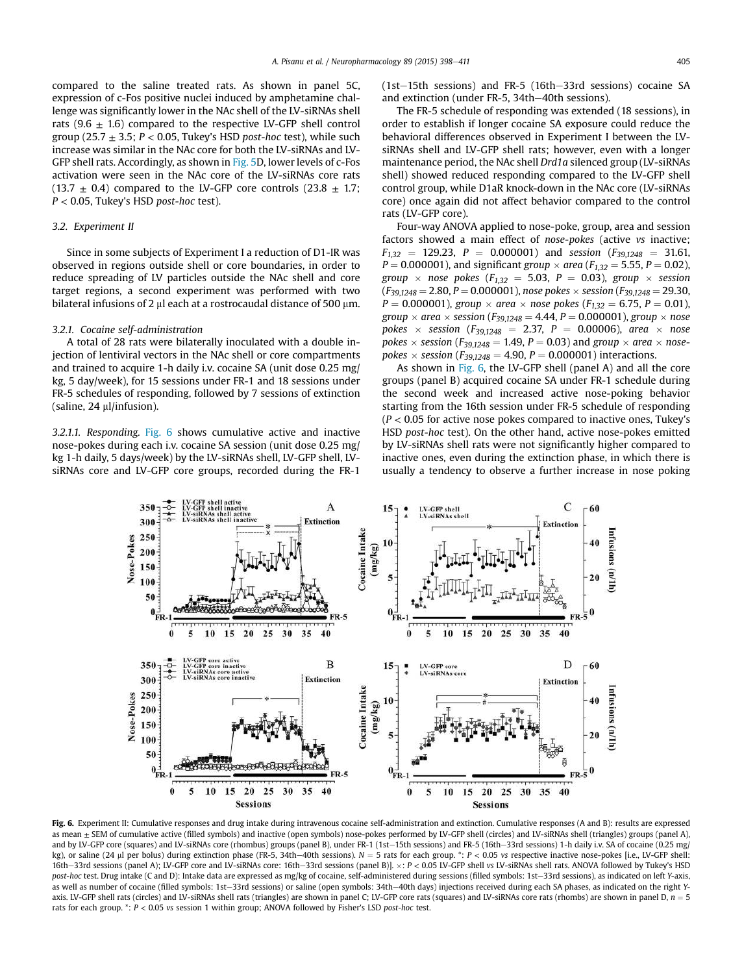compared to the saline treated rats. As shown in panel 5C, expression of c-Fos positive nuclei induced by amphetamine challenge was significantly lower in the NAc shell of the LV-siRNAs shell rats (9.6  $\pm$  1.6) compared to the respective LV-GFP shell control group (25.7 ± 3.5; *P* < 0.05, Tukey's HSD *post-hoc* test), while such increase was similar in the NAc core for both the LV-siRNAs and LV-GFP shell rats. Accordingly, as shown in Fig. 5D, lower levels of c-Fos activation were seen in the NAc core of the LV-siRNAs core rats  $(13.7 \pm 0.4)$  compared to the LV-GFP core controls  $(23.8 \pm 1.7)$ ; *P* < 0.05, Tukey's HSD *post-hoc* test).

## *3.2. Experiment II*

Since in some subjects of Experiment I a reduction of D1-IR was observed in regions outside shell or core boundaries, in order to reduce spreading of LV particles outside the NAc shell and core target regions, a second experiment was performed with two bilateral infusions of 2  $\mu$ l each at a rostrocaudal distance of 500  $\mu$ m.

## *3.2.1. Cocaine self-administration*

A total of 28 rats were bilaterally inoculated with a double injection of lentiviral vectors in the NAc shell or core compartments and trained to acquire 1-h daily i.v. cocaine SA (unit dose 0.25 mg/ kg, 5 day/week), for 15 sessions under FR-1 and 18 sessions under FR-5 schedules of responding, followed by 7 sessions of extinction (saline, 24 µl/infusion).

*3.2.1.1. Responding.* Fig. 6 shows cumulative active and inactive nose-pokes during each i.v. cocaine SA session (unit dose 0.25 mg/ kg 1-h daily, 5 days/week) by the LV-siRNAs shell, LV-GFP shell, LVsiRNAs core and LV-GFP core groups, recorded during the FR-1

 $(1st-15th$  sessions) and FR-5  $(16th-33rd$  sessions) cocaine SA and extinction (under FR-5,  $34th-40th$  sessions).

The FR-5 schedule of responding was extended (18 sessions), in order to establish if longer cocaine SA exposure could reduce the behavioral differences observed in Experiment I between the LVsiRNAs shell and LV-GFP shell rats; however, even with a longer maintenance period, the NAc shell *Drd1a* silenced group (LV-siRNAs shell) showed reduced responding compared to the LV-GFP shell control group, while D1aR knock-down in the NAc core (LV-siRNAs core) once again did not affect behavior compared to the control rats (LV-GFP core).

Four-way ANOVA applied to nose-poke, group, area and session factors showed a main effect of *nose-pokes* (active *vs* inactive;  $F_{1,32}$  = 129.23, *P* = 0.000001) and *session* ( $F_{39,1248}$  = 31.61,  $P = 0.000001$ , and significant *group*  $\times$  *area* ( $F_{1,32} = 5.55$ ,  $P = 0.02$ ), *group*  $\times$  *nose pokes* ( $F_{1,32} = 5.03$ ,  $P = 0.03$ ), *group*  $\times$  *session*  $(F_{39,1248} = 2.80, P = 0.000001)$ , *nose pokes*  $\times$  *session*  $(F_{39,1248} = 29.30,$  $P = 0.000001$ ), *group*  $\times$  *area*  $\times$  *nose pokes* ( $F_{1,32} = 6.75$ ,  $P = 0.01$ ), *group*  $\times$  *area*  $\times$  *session* (*F*<sub>39,1248</sub> = 4.44, *P* = 0.000001), *group*  $\times$  *nose*  $pokes \times session (F_{39,1248} = 2.37, P = 0.00006)$ , *area*  $\times$  *nose*  $pokes \times session(F_{39,1248} = 1.49, P = 0.03)$  and  $group \times area \times nose$  $pokes \times session (F_{39,1248} = 4.90, P = 0.000001)$  interactions.

As shown in Fig. 6, the LV-GFP shell (panel A) and all the core groups (panel B) acquired cocaine SA under FR-1 schedule during the second week and increased active nose-poking behavior starting from the 16th session under FR-5 schedule of responding (*P* < 0.05 for active nose pokes compared to inactive ones, Tukey's HSD *post-hoc* test). On the other hand, active nose-pokes emitted by LV-siRNAs shell rats were not significantly higher compared to inactive ones, even during the extinction phase, in which there is usually a tendency to observe a further increase in nose poking



Fig. 6. Experiment II: Cumulative responses and drug intake during intravenous cocaine self-administration and extinction. Cumulative responses (A and B): results are expressed as mean ± SEM of cumulative active (filled symbols) and inactive (open symbols) nose-pokes performed by LV-GFP shell (circles) and LV-siRNAs shell (triangles) groups (panel A), and by LV-GFP core (squares) and LV-siRNAs core (rhombus) groups (panel B), under FR-1 (1st-15th sessions) and FR-5 (16th-33rd sessions) 1-h daily i.v. SA of cocaine (0.25 mg/ kg), or saline (24 µl per bolus) during extinction phase (FR-5, 34th-40th sessions).  $N = 5$  rats for each group. \*:  $P < 0.05$  vs respective inactive nose-pokes [i.e., LV-GFP shell: 16th-33rd sessions (panel A); LV-GFP core and LV-siRNAs core: 16th-33rd sessions (panel B)]. x:  $P < 0.05$  LV-GFP shell *vs* LV-siRNAs shell rats. ANOVA followed by Tukey's HSD post-hoc test. Drug intake (C and D): Intake data are expressed as mg/kg of cocaine, self-administered during sessions (filled symbols: 1st-33rd sessions), as indicated on left *Y*-axis, as well as number of cocaine (filled symbols: 1st-33rd sessions) or saline (open symbols: 34th-40th days) injections received during each SA phases, as indicated on the right *Y*axis. LV-GFP shell rats (circles) and LV-siRNAs shell rats (triangles) are shown in panel C; LV-GFP core rats (squares) and LV-siRNAs core rats (rhombs) are shown in panel D,  $n = 5$ rats for each group. \*: *P* < 0.05 *vs* session 1 within group; ANOVA followed by Fisher's LSD *post-hoc* test.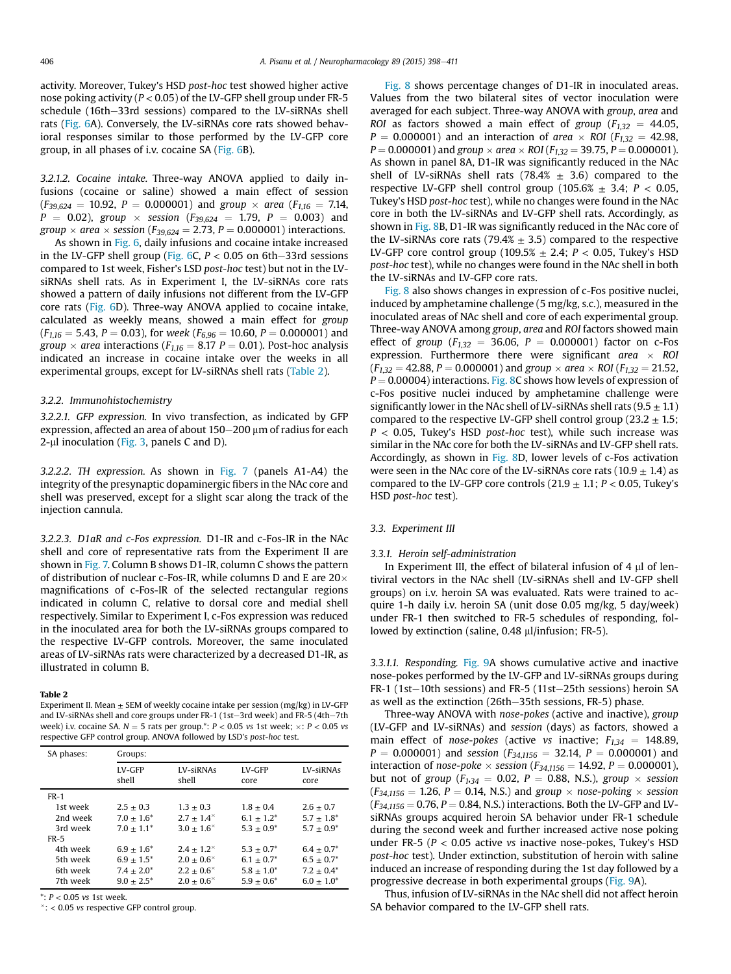activity. Moreover, Tukey's HSD *post-hoc* test showed higher active nose poking activity (*P* < 0.05) of the LV-GFP shell group under FR-5 schedule (16th-33rd sessions) compared to the LV-siRNAs shell rats (Fig. 6A). Conversely, the LV-siRNAs core rats showed behavioral responses similar to those performed by the LV-GFP core group, in all phases of i.v. cocaine SA (Fig. 6B).

*3.2.1.2. Cocaine intake.* Three-way ANOVA applied to daily infusions (cocaine or saline) showed a main effect of session  $(F_{39,624} = 10.92, P = 0.000001)$  and *group*  $\times$  *area* ( $F_{1,16} = 7.14$ ,  $P = 0.02$ ), *group*  $\times$  *session* ( $F_{39,624} = 1.79$ ,  $P = 0.003$ ) and *group*  $\times$  *area*  $\times$  *session* (*F*<sub>39,624</sub> = 2.73, *P* = 0.000001) interactions.

As shown in Fig. 6, daily infusions and cocaine intake increased in the LV-GFP shell group (Fig. 6C,  $P < 0.05$  on 6th-33rd sessions compared to 1st week, Fisher's LSD *post-hoc* test) but not in the LVsiRNAs shell rats. As in Experiment I, the LV-siRNAs core rats showed a pattern of daily infusions not different from the LV-GFP core rats (Fig. 6D). Three-way ANOVA applied to cocaine intake, calculated as weekly means, showed a main effect for *group*  $(F_{1,16} = 5.43, P = 0.03)$ , for *week* ( $F_{6,96} = 10.60, P = 0.000001$ ) and *group*  $\times$  *area* interactions ( $F_{1,16} = 8.17$  *P* = 0.01). Post-hoc analysis indicated an increase in cocaine intake over the weeks in all experimental groups, except for LV-siRNAs shell rats (Table 2).

## *3.2.2. Immunohistochemistry*

*3.2.2.1. GFP expression.* In vivo transfection, as indicated by GFP expression, affected an area of about  $150-200 \,\mu m$  of radius for each  $2$ -µl inoculation (Fig. 3, panels C and D).

*3.2.2.2. TH expression.* As shown in Fig. 7 (panels A1-A4) the integrity of the presynaptic dopaminergic fibers in the NAc core and shell was preserved, except for a slight scar along the track of the injection cannula.

*3.2.2.3. D1aR and c-Fos expression.* D1-IR and c-Fos-IR in the NAc shell and core of representative rats from the Experiment II are shown in Fig. 7. Column B shows D1-IR, column C shows the pattern of distribution of nuclear c-Fos-IR, while columns D and E are  $20\times$ magnifications of c-Fos-IR of the selected rectangular regions indicated in column C, relative to dorsal core and medial shell respectively. Similar to Experiment I, c-Fos expression was reduced in the inoculated area for both the LV-siRNAs groups compared to the respective LV-GFP controls. Moreover, the same inoculated areas of LV-siRNAs rats were characterized by a decreased D1-IR, as illustrated in column B.

#### Table 2

Experiment II. Mean  $\pm$  SEM of weekly cocaine intake per session (mg/kg) in LV-GFP and LV-siRNAs shell and core groups under FR-1 (1st-3rd week) and FR-5 (4th-7th week) i.v. cocaine SA.  $N = 5$  rats per group.\*:  $P < 0.05$  vs 1st week;  $\times: P < 0.05$  vs respective GFP control group. ANOVA followed by LSD's *post-hoc* test.

| SA phases: | Groups:                |                      |                 |                          |
|------------|------------------------|----------------------|-----------------|--------------------------|
|            | <b>LV-GFP</b><br>shell | LV-siRNAs<br>shell   | LV-GFP<br>core  | <b>LV-siRNAs</b><br>core |
| $FR-1$     |                        |                      |                 |                          |
| 1st week   | $2.5 + 0.3$            | $1.3 + 0.3$          | $1.8 + 0.4$     | $2.6 + 0.7$              |
| 2nd week   | $7.0 + 1.6^*$          | $2.7 + 1.4^{\times}$ | $6.1 + 1.2^*$   | $5.7 \pm 1.8^*$          |
| 3rd week   | $7.0 + 1.1*$           | $3.0 + 1.6^{\times}$ | $5.3 + 0.9^*$   | $5.7 + 0.9^*$            |
| $FR-5$     |                        |                      |                 |                          |
| 4th week   | $6.9 \pm 1.6^*$        | $2.4 + 1.2^{\times}$ | $5.3 \pm 0.7^*$ | $6.4 + 0.7^*$            |
| 5th week   | $6.9 + 1.5^*$          | $2.0 + 0.6^{\times}$ | $6.1 + 0.7^*$   | $6.5 + 0.7^*$            |
| 6th week   | $7.4 \pm 2.0^*$        | $2.2 + 0.6^{\times}$ | $5.8 + 1.0^*$   | $7.2 + 0.4^*$            |
| 7th week   | $9.0 + 2.5^*$          | $2.0 + 0.6^{\times}$ | $5.9 + 0.6^*$   | $6.0 + 1.0^*$            |

\*: *P* < 0.05 *vs* 1st week.

: < 0.05 *vs* respective GFP control group.

Fig. 8 shows percentage changes of D1-IR in inoculated areas. Values from the two bilateral sites of vector inoculation were averaged for each subject. Three-way ANOVA with *group*, *area* and *ROI* as factors showed a main effect of *group* ( $F_{1,32}$  = 44.05,  $P = 0.000001$ ) and an interaction of *area*  $\times$  *ROI* ( $F_{1,32} = 42.98$ ,  $P = 0.000001$ ) and *group*  $\times$  *area*  $\times$  *ROI* ( $F_{1,32} = 39.75$ ,  $P = 0.000001$ ). As shown in panel 8A, D1-IR was significantly reduced in the NAc shell of LV-siRNAs shell rats (78.4%  $\pm$  3.6) compared to the respective LV-GFP shell control group  $(105.6% \pm 3.4; P < 0.05,$ Tukey's HSD *post-hoc* test), while no changes were found in the NAc core in both the LV-siRNAs and LV-GFP shell rats. Accordingly, as shown in Fig. 8B, D1-IR was significantly reduced in the NAc core of the LV-siRNAs core rats (79.4%  $\pm$  3.5) compared to the respective LV-GFP core control group (109.5% ± 2.4; *P* < 0.05, Tukey's HSD *post-hoc* test), while no changes were found in the NAc shell in both the LV-siRNAs and LV-GFP core rats.

Fig. 8 also shows changes in expression of c-Fos positive nuclei, induced by amphetamine challenge (5 mg/kg, s.c.), measured in the inoculated areas of NAc shell and core of each experimental group. Three-way ANOVA among *group*, *area* and *ROI* factors showed main effect of *group* ( $F_{1,32}$  = 36.06,  $P = 0.000001$ ) factor on c-Fos expression. Furthermore there were significant *area ROI*  $(F_{1,32} = 42.88, P = 0.000001)$  and *group*  $\times$  *area*  $\times$  *ROI* ( $F_{1,32} = 21.52$ ,  $P = 0.00004$ ) interactions. Fig. 8C shows how levels of expression of c-Fos positive nuclei induced by amphetamine challenge were significantly lower in the NAc shell of LV-siRNAs shell rats  $(9.5 \pm 1.1)$ compared to the respective LV-GFP shell control group (23.2  $\pm$  1.5; *P* < 0.05, Tukey's HSD *post-hoc* test), while such increase was similar in the NAc core for both the LV-siRNAs and LV-GFP shell rats. Accordingly, as shown in Fig. 8D, lower levels of c-Fos activation were seen in the NAc core of the LV-siRNAs core rats (10.9  $\pm$  1.4) as compared to the LV-GFP core controls  $(21.9 \pm 1.1; P < 0.05,$  Tukey's HSD *post-hoc* test).

#### *3.3. Experiment III*

## *3.3.1. Heroin self-administration*

In Experiment III, the effect of bilateral infusion of 4  $\mu$ l of lentiviral vectors in the NAc shell (LV-siRNAs shell and LV-GFP shell groups) on i.v. heroin SA was evaluated. Rats were trained to acquire 1-h daily i.v. heroin SA (unit dose 0.05 mg/kg, 5 day/week) under FR-1 then switched to FR-5 schedules of responding, followed by extinction (saline, 0.48 µl/infusion; FR-5).

*3.3.1.1. Responding.* Fig. 9A shows cumulative active and inactive nose-pokes performed by the LV-GFP and LV-siRNAs groups during FR-1 (1st-10th sessions) and FR-5 (11st-25th sessions) heroin SA as well as the extinction (26th-35th sessions, FR-5) phase.

Three-way ANOVA with *nose-pokes* (active and inactive), *group* (LV-GFP and LV-siRNAs) and *session* (days) as factors, showed a main effect of *nose-pokes* (active *vs* inactive;  $F_{1,34} = 148.89$ ,  $P = 0.000001$  and *session* ( $F_{34,1156} = 32.14$ ,  $P = 0.000001$ ) and interaction of *nose-poke*  $\times$  *session* ( $F_{34,1156} = 14.92$ ,  $P = 0.000001$ ), but not of *group* ( $F_{1,34} = 0.02$ ,  $P = 0.88$ , N.S.), *group*  $\times$  *session*  $(F_{34,1156} = 1.26, P = 0.14, N.S.)$  and *group*  $\times$  *nose-poking*  $\times$  *session*  $(F_{34,1156} = 0.76, P = 0.84, N.S.)$  interactions. Both the LV-GFP and LVsiRNAs groups acquired heroin SA behavior under FR-1 schedule during the second week and further increased active nose poking under FR-5 (*P* < 0.05 active *vs* inactive nose-pokes, Tukey's HSD *post-hoc* test). Under extinction, substitution of heroin with saline induced an increase of responding during the 1st day followed by a progressive decrease in both experimental groups (Fig. 9A).

Thus, infusion of LV-siRNAs in the NAc shell did not affect heroin SA behavior compared to the LV-GFP shell rats.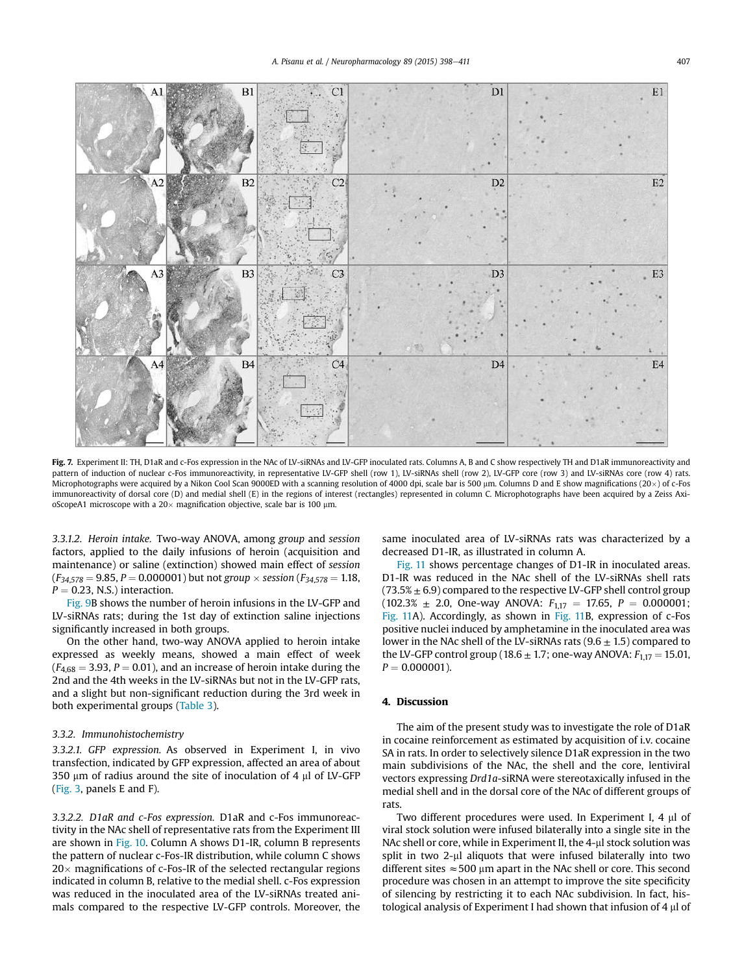

Fig. 7. Experiment II: TH, D1aR and c-Fos expression in the NAc of LV-siRNAs and LV-GFP inoculated rats. Columns A, B and C show respectively TH and D1aR immunoreactivity and pattern of induction of nuclear c-Fos immunoreactivity, in representative LV-GFP shell (row 1), LV-siRNAs shell (row 2), LV-GFP core (row 3) and LV-siRNAs core (row 4) rats. Microphotographs were acquired by a Nikon Cool Scan 9000ED with a scanning resolution of 4000 dpi, scale bar is 500 µm. Columns D and E show magnifications (20 $\times$ ) of c-Fos immunoreactivity of dorsal core (D) and medial shell (E) in the regions of interest (rectangles) represented in column C. Microphotographs have been acquired by a Zeiss AxioScopeA1 microscope with a  $20\times$  magnification objective, scale bar is 100  $\mu$ m.

*3.3.1.2. Heroin intake.* Two-way ANOVA, among *group* and *session* factors, applied to the daily infusions of heroin (acquisition and maintenance) or saline (extinction) showed main effect of *session*  $(F_{34,578} = 9.85, P = 0.000001)$  but not *group*  $\times$  *session* ( $F_{34,578} = 1.18$ ,  $P = 0.23$ , N.S.) interaction.

Fig. 9B shows the number of heroin infusions in the LV-GFP and LV-siRNAs rats; during the 1st day of extinction saline injections significantly increased in both groups.

On the other hand, two-way ANOVA applied to heroin intake expressed as weekly means, showed a main effect of week  $(F_{4,68} = 3.93, P = 0.01)$ , and an increase of heroin intake during the 2nd and the 4th weeks in the LV-siRNAs but not in the LV-GFP rats, and a slight but non-significant reduction during the 3rd week in both experimental groups (Table 3).

# *3.3.2. Immunohistochemistry*

*3.3.2.1. GFP expression.* As observed in Experiment I, in vivo transfection, indicated by GFP expression, affected an area of about 350  $\mu$ m of radius around the site of inoculation of 4  $\mu$ l of LV-GFP (Fig. 3, panels E and F).

*3.3.2.2. D1aR and c-Fos expression.* D1aR and c-Fos immunoreactivity in the NAc shell of representative rats from the Experiment III are shown in Fig. 10. Column A shows D1-IR, column B represents the pattern of nuclear c-Fos-IR distribution, while column C shows  $20 \times$  magnifications of c-Fos-IR of the selected rectangular regions indicated in column B, relative to the medial shell. c-Fos expression was reduced in the inoculated area of the LV-siRNAs treated animals compared to the respective LV-GFP controls. Moreover, the same inoculated area of LV-siRNAs rats was characterized by a decreased D1-IR, as illustrated in column A.

Fig. 11 shows percentage changes of D1-IR in inoculated areas. D1-IR was reduced in the NAc shell of the LV-siRNAs shell rats  $(73.5\% \pm 6.9)$  compared to the respective LV-GFP shell control group  $(102.3\% \pm 2.0, \text{ One-way ANOVA: } F_{1.17} = 17.65, P = 0.000001;$ Fig. 11A). Accordingly, as shown in Fig. 11B, expression of c-Fos positive nuclei induced by amphetamine in the inoculated area was lower in the NAc shell of the LV-siRNAs rats ( $9.6 \pm 1.5$ ) compared to the LV-GFP control group (18.6  $\pm$  1.7; one-way ANOVA:  $F_{1,17} = 15.01$ ,  $P = 0.000001$ ).

## 4. Discussion

The aim of the present study was to investigate the role of D1aR in cocaine reinforcement as estimated by acquisition of i.v. cocaine SA in rats. In order to selectively silence D1aR expression in the two main subdivisions of the NAc, the shell and the core, lentiviral vectors expressing *Drd1a*-siRNA were stereotaxically infused in the medial shell and in the dorsal core of the NAc of different groups of rats.

Two different procedures were used. In Experiment I, 4 µl of viral stock solution were infused bilaterally into a single site in the NAc shell or core, while in Experiment II, the 4-µl stock solution was split in two  $2-\mu$ l aliquots that were infused bilaterally into two different sites  $\approx$  500 µm apart in the NAc shell or core. This second procedure was chosen in an attempt to improve the site specificity of silencing by restricting it to each NAc subdivision. In fact, histological analysis of Experiment I had shown that infusion of  $4 \mu$  of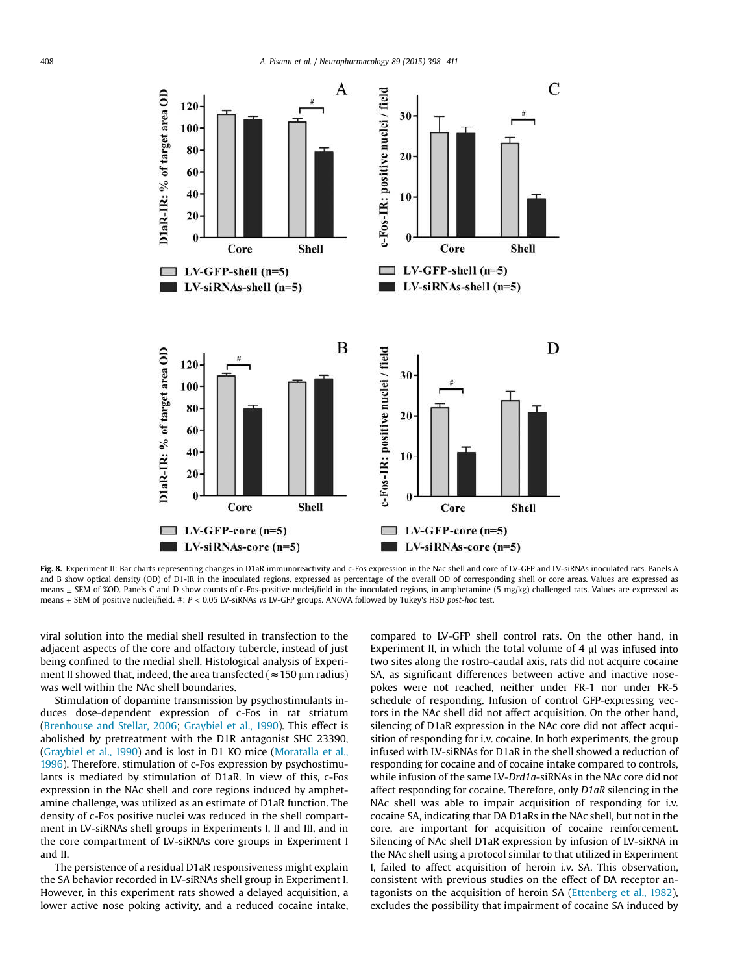

Fig. 8. Experiment II: Bar charts representing changes in D1aR immunoreactivity and c-Fos expression in the Nac shell and core of LV-GFP and LV-siRNAs inoculated rats. Panels A and B show optical density (OD) of D1-IR in the inoculated regions, expressed as percentage of the overall OD of corresponding shell or core areas. Values are expressed as means  $\pm$  SEM of %OD. Panels C and D show counts of c-Fos-positive nuclei/field in the inoculated regions, in amphetamine (5 mg/kg) challenged rats. Values are expressed as means ± SEM of positive nuclei/field. #: *P* < 0.05 LV-siRNAs *vs* LV-GFP groups. ANOVA followed by Tukey's HSD *post-hoc* test.

viral solution into the medial shell resulted in transfection to the adjacent aspects of the core and olfactory tubercle, instead of just being confined to the medial shell. Histological analysis of Experiment II showed that, indeed, the area transfected ( $\approx$  150 µm radius) was well within the NAc shell boundaries.

Stimulation of dopamine transmission by psychostimulants induces dose-dependent expression of c-Fos in rat striatum (Brenhouse and Stellar, 2006; Graybiel et al., 1990). This effect is abolished by pretreatment with the D1R antagonist SHC 23390, (Graybiel et al., 1990) and is lost in D1 KO mice (Moratalla et al., 1996). Therefore, stimulation of c-Fos expression by psychostimulants is mediated by stimulation of D1aR. In view of this, c-Fos expression in the NAc shell and core regions induced by amphetamine challenge, was utilized as an estimate of D1aR function. The density of c-Fos positive nuclei was reduced in the shell compartment in LV-siRNAs shell groups in Experiments I, II and III, and in the core compartment of LV-siRNAs core groups in Experiment I and II.

The persistence of a residual D1aR responsiveness might explain the SA behavior recorded in LV-siRNAs shell group in Experiment I. However, in this experiment rats showed a delayed acquisition, a lower active nose poking activity, and a reduced cocaine intake, compared to LV-GFP shell control rats. On the other hand, in Experiment II, in which the total volume of 4  $\mu$ l was infused into two sites along the rostro-caudal axis, rats did not acquire cocaine SA, as significant differences between active and inactive nosepokes were not reached, neither under FR-1 nor under FR-5 schedule of responding. Infusion of control GFP-expressing vectors in the NAc shell did not affect acquisition. On the other hand, silencing of D1aR expression in the NAc core did not affect acquisition of responding for i.v. cocaine. In both experiments, the group infused with LV-siRNAs for D1aR in the shell showed a reduction of responding for cocaine and of cocaine intake compared to controls, while infusion of the same LV-*Drd1a*-siRNAs in the NAc core did not affect responding for cocaine. Therefore, only *D1aR* silencing in the NAc shell was able to impair acquisition of responding for i.v. cocaine SA, indicating that DA D1aRs in the NAc shell, but not in the core, are important for acquisition of cocaine reinforcement. Silencing of NAc shell D1aR expression by infusion of LV-siRNA in the NAc shell using a protocol similar to that utilized in Experiment I, failed to affect acquisition of heroin i.v. SA. This observation, consistent with previous studies on the effect of DA receptor antagonists on the acquisition of heroin SA (Ettenberg et al., 1982), excludes the possibility that impairment of cocaine SA induced by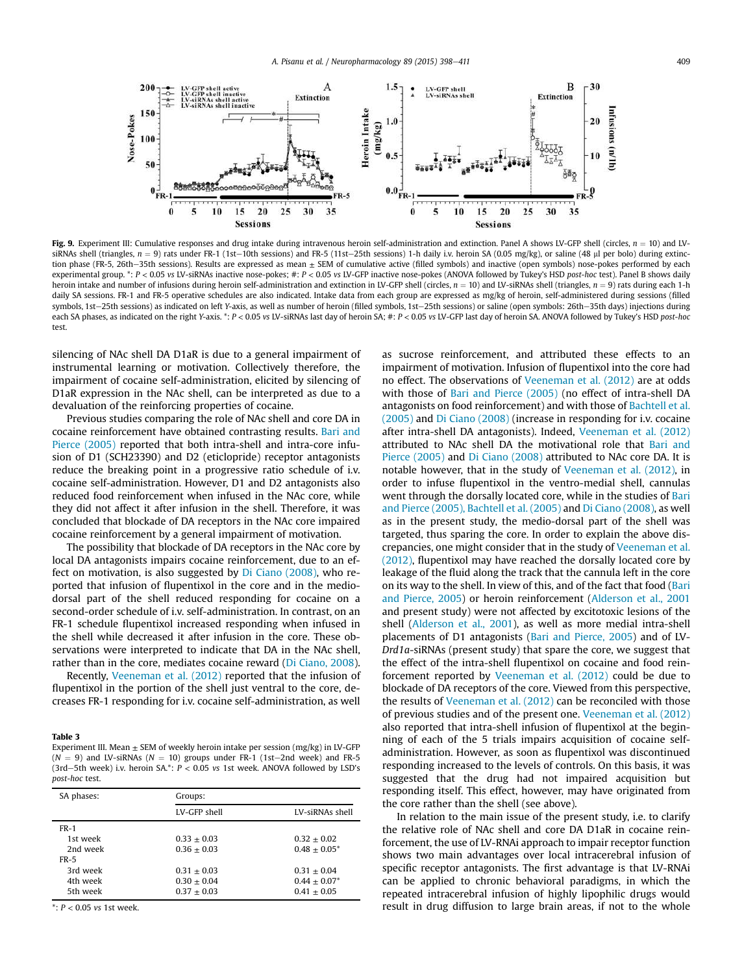

Fig. 9. Experiment III: Cumulative responses and drug intake during intravenous heroin self-administration and extinction. Panel A shows LV-GFP shell (circles,  $n = 10$ ) and LVsiRNAs shell (triangles,  $n = 9$ ) rats under FR-1 (1st-10th sessions) and FR-5 (11st-25th sessions) 1-h daily i.v. heroin SA (0.05 mg/kg), or saline (48 ul per bolo) during extinction phase (FR-5, 26th-35th sessions). Results are expressed as mean  $\pm$  SEM of cumulative active (filled symbols) and inactive (open symbols) nose-pokes performed by each experimental group. \*: *P* < 0.05 *vs* LV-siRNAs inactive nose-pokes; #: *P* < 0.05 *vs* LV-GFP inactive nose-pokes (ANOVA followed by Tukey's HSD *post-hoc* test). Panel B shows daily heroin intake and number of infusions during heroin self-administration and extinction in LV-GFP shell (circles,  $n = 10$ ) and LV-siRNAs shell (triangles,  $n = 9$ ) rats during each 1-h daily SA sessions. FR-1 and FR-5 operative schedules are also indicated. Intake data from each group are expressed as mg/kg of heroin, self-administered during sessions (filled symbols, 1st-25th sessions) as indicated on left *Y*-axis, as well as number of heroin (filled symbols, 1st-25th sessions) or saline (open symbols: 26th-35th days) injections during each SA phases, as indicated on the right *Y*-axis. \*: *P* < 0.05 *vs* LV-siRNAs last day of heroin SA; #: *P* < 0.05 *vs* LV-GFP last day of heroin SA. ANOVA followed by Tukey's HSD *post-hoc* test.

silencing of NAc shell DA D1aR is due to a general impairment of instrumental learning or motivation. Collectively therefore, the impairment of cocaine self-administration, elicited by silencing of D1aR expression in the NAc shell, can be interpreted as due to a devaluation of the reinforcing properties of cocaine.

Previous studies comparing the role of NAc shell and core DA in cocaine reinforcement have obtained contrasting results. Bari and Pierce (2005) reported that both intra-shell and intra-core infusion of D1 (SCH23390) and D2 (eticlopride) receptor antagonists reduce the breaking point in a progressive ratio schedule of i.v. cocaine self-administration. However, D1 and D2 antagonists also reduced food reinforcement when infused in the NAc core, while they did not affect it after infusion in the shell. Therefore, it was concluded that blockade of DA receptors in the NAc core impaired cocaine reinforcement by a general impairment of motivation.

The possibility that blockade of DA receptors in the NAc core by local DA antagonists impairs cocaine reinforcement, due to an effect on motivation, is also suggested by Di Ciano (2008), who reported that infusion of flupentixol in the core and in the mediodorsal part of the shell reduced responding for cocaine on a second-order schedule of i.v. self-administration. In contrast, on an FR-1 schedule flupentixol increased responding when infused in the shell while decreased it after infusion in the core. These observations were interpreted to indicate that DA in the NAc shell, rather than in the core, mediates cocaine reward (Di Ciano, 2008).

Recently, Veeneman et al. (2012) reported that the infusion of flupentixol in the portion of the shell just ventral to the core, decreases FR-1 responding for i.v. cocaine self-administration, as well

## Table 3

Experiment III. Mean  $+$  SEM of weekly heroin intake per session ( $m\alpha$ /kg) in LV-GFP  $(N = 9)$  and LV-siRNAs  $(N = 10)$  groups under FR-1 (1st-2nd week) and FR-5 (3rd-5th week) i.v. heroin SA.\*:  $P < 0.05$  vs 1st week. ANOVA followed by LSD's *post-hoc* test.

| SA phases:  | Groups:       |                 |  |  |
|-------------|---------------|-----------------|--|--|
|             | LV-GFP shell  | LV-siRNAs shell |  |  |
| <b>FR-1</b> |               |                 |  |  |
| 1st week    | $0.33 + 0.03$ | $0.32 + 0.02$   |  |  |
| 2nd week    | $0.36 + 0.03$ | $0.48 + 0.05^*$ |  |  |
| FR-5        |               |                 |  |  |
| 3rd week    | $0.31 + 0.03$ | $0.31 + 0.04$   |  |  |
| 4th week    | $0.30 + 0.04$ | $0.44 + 0.07*$  |  |  |
| 5th week    | $0.37 + 0.03$ | $0.41 + 0.05$   |  |  |

\*: *P* < 0.05 *vs* 1st week.

impairment of motivation. Infusion of flupentixol into the core had no effect. The observations of Veeneman et al. (2012) are at odds with those of Bari and Pierce (2005) (no effect of intra-shell DA antagonists on food reinforcement) and with those of Bachtell et al. (2005) and Di Ciano (2008) (increase in responding for i.v. cocaine after intra-shell DA antagonists). Indeed, Veeneman et al. (2012) attributed to NAc shell DA the motivational role that Bari and Pierce (2005) and Di Ciano (2008) attributed to NAc core DA. It is notable however, that in the study of Veeneman et al. (2012), in order to infuse flupentixol in the ventro-medial shell, cannulas went through the dorsally located core, while in the studies of Bari and Pierce (2005), Bachtell et al. (2005) and Di Ciano (2008), as well as in the present study, the medio-dorsal part of the shell was targeted, thus sparing the core. In order to explain the above discrepancies, one might consider that in the study of Veeneman et al. (2012), flupentixol may have reached the dorsally located core by leakage of the fluid along the track that the cannula left in the core on its way to the shell. In view of this, and of the fact that food (Bari and Pierce, 2005) or heroin reinforcement (Alderson et al., 2001 and present study) were not affected by excitotoxic lesions of the shell (Alderson et al., 2001), as well as more medial intra-shell placements of D1 antagonists (Bari and Pierce, 2005) and of LV-*Drd1a*-siRNAs (present study) that spare the core, we suggest that the effect of the intra-shell flupentixol on cocaine and food reinforcement reported by Veeneman et al. (2012) could be due to blockade of DA receptors of the core. Viewed from this perspective, the results of Veeneman et al. (2012) can be reconciled with those of previous studies and of the present one. Veeneman et al. (2012) also reported that intra-shell infusion of flupentixol at the beginning of each of the 5 trials impairs acquisition of cocaine selfadministration. However, as soon as flupentixol was discontinued responding increased to the levels of controls. On this basis, it was suggested that the drug had not impaired acquisition but responding itself. This effect, however, may have originated from the core rather than the shell (see above).

as sucrose reinforcement, and attributed these effects to an

In relation to the main issue of the present study, i.e. to clarify the relative role of NAc shell and core DA D1aR in cocaine reinforcement, the use of LV-RNAi approach to impair receptor function shows two main advantages over local intracerebral infusion of specific receptor antagonists. The first advantage is that LV-RNAi can be applied to chronic behavioral paradigms, in which the repeated intracerebral infusion of highly lipophilic drugs would result in drug diffusion to large brain areas, if not to the whole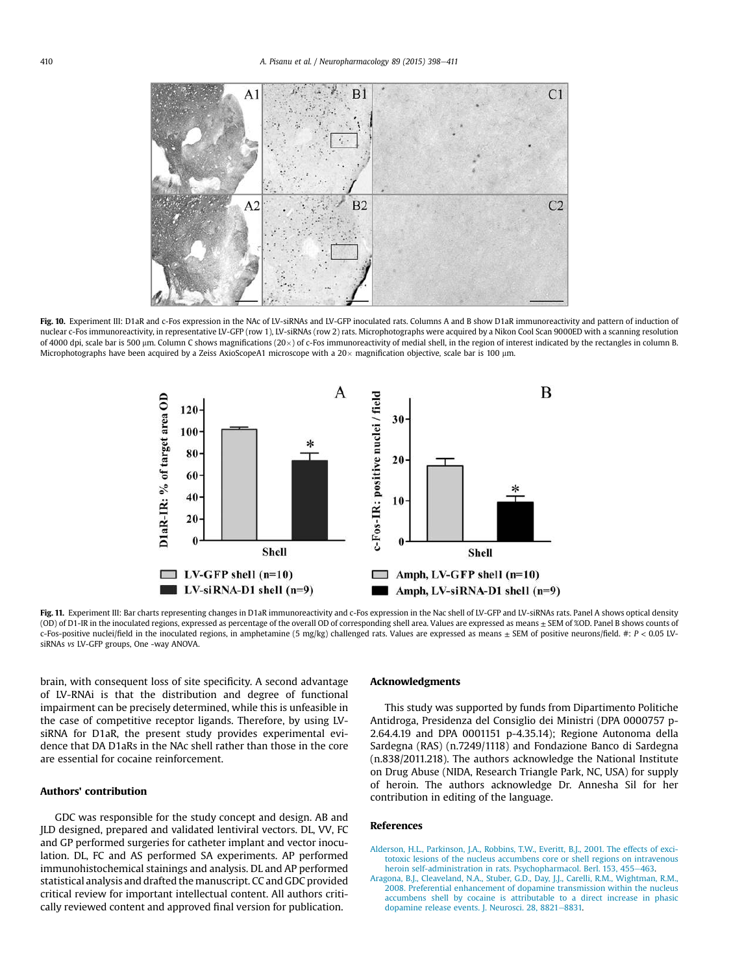

Fig. 10. Experiment III: D1aR and c-Fos expression in the NAc of LV-siRNAs and LV-GFP inoculated rats. Columns A and B show D1aR immunoreactivity and pattern of induction of nuclear c-Fos immunoreactivity, in representative LV-GFP (row 1), LV-siRNAs (row 2) rats. Microphotographs were acquired by a Nikon Cool Scan 9000ED with a scanning resolution of 4000 dpi, scale bar is 500  $\mu$ m. Column C shows magnifications (20 x) of c-Fos immunoreactivity of medial shell, in the region of interest indicated by the rectangles in column B. Microphotographs have been acquired by a Zeiss AxioScopeA1 microscope with a  $20\times$  magnification objective, scale bar is 100 µm.



Fig. 11. Experiment III: Bar charts representing changes in D1aR immunoreactivity and c-Fos expression in the Nac shell of LV-GFP and LV-siRNAs rats. Panel A shows optical density (OD) of D1-IR in the inoculated regions, expressed as percentage of the overall OD of corresponding shell area. Values are expressed as means ± SEM of %OD. Panel B shows counts of c-Fos-positive nuclei/field in the inoculated regions, in amphetamine (5 mg/kg) challenged rats. Values are expressed as means ± SEM of positive neurons/field. #: *P* < 0.05 LVsiRNAs *vs* LV-GFP groups, One -way ANOVA.

brain, with consequent loss of site specificity. A second advantage of LV-RNAi is that the distribution and degree of functional impairment can be precisely determined, while this is unfeasible in the case of competitive receptor ligands. Therefore, by using LVsiRNA for D1aR, the present study provides experimental evidence that DA D1aRs in the NAc shell rather than those in the core are essential for cocaine reinforcement.

## Authors' contribution

GDC was responsible for the study concept and design. AB and JLD designed, prepared and validated lentiviral vectors. DL, VV, FC and GP performed surgeries for catheter implant and vector inoculation. DL, FC and AS performed SA experiments. AP performed immunohistochemical stainings and analysis. DL and AP performed statistical analysis and drafted the manuscript. CC and GDC provided critical review for important intellectual content. All authors critically reviewed content and approved final version for publication.

# Acknowledgments

This study was supported by funds from Dipartimento Politiche Antidroga, Presidenza del Consiglio dei Ministri (DPA 0000757 p-2.64.4.19 and DPA 0001151 p-4.35.14); Regione Autonoma della Sardegna (RAS) (n.7249/1118) and Fondazione Banco di Sardegna (n.838/2011.218). The authors acknowledge the National Institute on Drug Abuse (NIDA, Research Triangle Park, NC, USA) for supply of heroin. The authors acknowledge Dr. Annesha Sil for her contribution in editing of the language.

## References

- Alderson, H.L., Parkinson, J.A., Robbins, T.W., Everitt, B.J., 2001. The effects of excitotoxic lesions of the nucleus accumbens core or shell regions on intravenous heroin self-administration in rats. Psychopharmacol. Berl. 153, 455-463.
- Aragona, B.J., Cleaveland, N.A., Stuber, G.D., Day, J.J., Carelli, R.M., Wightman, R.M., 2008. Preferential enhancement of dopamine transmission within the nucleus accumbens shell by cocaine is attributable to a direct increase in phasic dopamine release events. J. Neurosci. 28, 8821-8831.